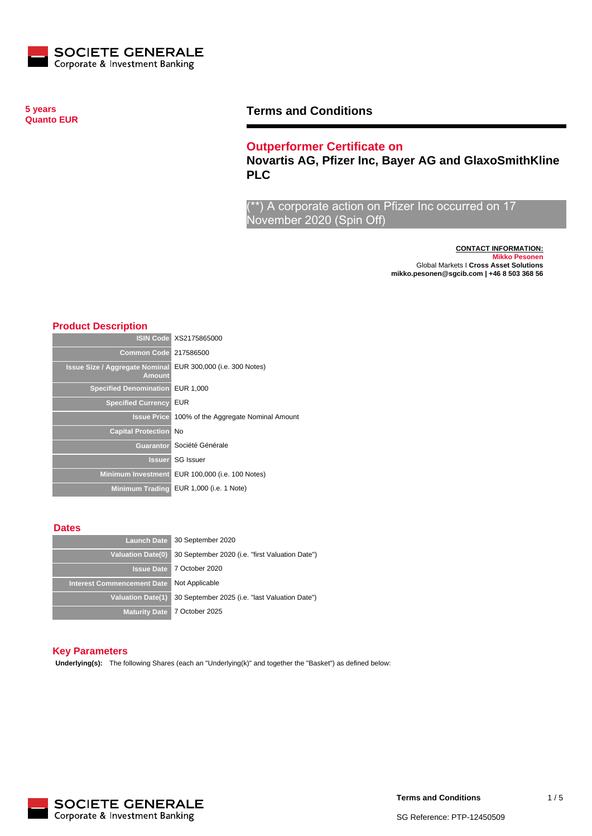

**5 years Quanto EUR**

# **Terms and Conditions**

## **Outperformer Certificate on**

**Novartis AG, Pfizer Inc, Bayer AG and GlaxoSmithKline PLC**

\*) A corporate action on Pfizer Inc occurred on 17 November 2020 (Spin Off)

> **CONTACT INFORMATION: Mikko Pesonen** Global Markets I **Cross Asset Solutions mikko.pesonen@sgcib.com | +46 8 503 368 56**

### **Product Description**

|                                                        | <b>ISIN Code XS2175865000</b>                    |
|--------------------------------------------------------|--------------------------------------------------|
| <b>Common Code 217586500</b>                           |                                                  |
| <b>Issue Size / Aggregate Nominal</b><br><b>Amount</b> | EUR 300,000 (i.e. 300 Notes)                     |
| <b>Specified Denomination</b>                          | EUR 1,000                                        |
| <b>Specified Currency</b>                              | <b>EUR</b>                                       |
|                                                        | Issue Price 100% of the Aggregate Nominal Amount |
| <b>Capital Protection No</b>                           |                                                  |
|                                                        | Guarantor Société Générale                       |
|                                                        | <b>Issuer</b> SG Issuer                          |
| <b>Minimum Investment</b>                              | EUR 100,000 (i.e. 100 Notes)                     |
|                                                        | Minimum Trading EUR 1,000 (i.e. 1 Note)          |

#### **Dates**

| <b>Launch Date</b>                | 30 September 2020                               |
|-----------------------------------|-------------------------------------------------|
| <b>Valuation Date(0)</b>          | 30 September 2020 (i.e. "first Valuation Date") |
|                                   | <b>Issue Date 7 October 2020</b>                |
| <b>Interest Commencement Date</b> | Not Applicable                                  |
| <b>Valuation Date(1)</b>          | 30 September 2025 (i.e. "last Valuation Date")  |
|                                   | Maturity Date 7 October 2025                    |

#### **Key Parameters**

**Underlying(s):** The following Shares (each an "Underlying(k)" and together the "Basket") as defined below:

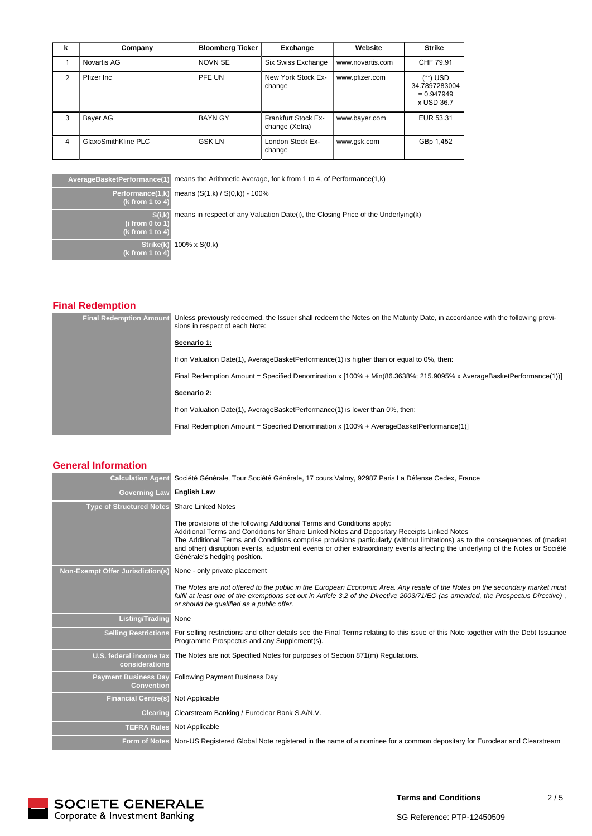| k | Company             | <b>Bloomberg Ticker</b> | Exchange                                     | Website          | Strike                                                  |
|---|---------------------|-------------------------|----------------------------------------------|------------------|---------------------------------------------------------|
|   | Novartis AG         | <b>NOVN SE</b>          | Six Swiss Exchange                           | www.novartis.com | CHF 79.91                                               |
| 2 | Pfizer Inc.         | PFE UN                  | New York Stock Ex-<br>change                 | www.pfizer.com   | (**) USD<br>34.7897283004<br>$= 0.947949$<br>x USD 36.7 |
| 3 | Bayer AG            | <b>BAYN GY</b>          | <b>Frankfurt Stock Ex-</b><br>change (Xetra) | www.bayer.com    | EUR 53.31                                               |
| 4 | GlaxoSmithKline PLC | <b>GSK LN</b>           | London Stock Ex-<br>change                   | www.gsk.com      | GBp 1,452                                               |

**AverageBasketPerformance(1)** means the Arithmetic Average, for k from 1 to 4, of Performance(1,k)

**Performance(1,k) (k from 1 to 4) S(i,k) (i from 0 to 1) (k from 1 to 4) Strike(k) (k from 1 to 4)** 100% x S(0,k)

means (S(1,k) / S(0,k)) - 100%

means in respect of any Valuation Date(i), the Closing Price of the Underlying(k)

# **Final Redemption**

| <b>Final Redemption Amount</b> | Unless previously redeemed, the Issuer shall redeem the Notes on the Maturity Date, in accordance with the following provi-<br>sions in respect of each Note: |
|--------------------------------|---------------------------------------------------------------------------------------------------------------------------------------------------------------|
|                                | Scenario 1:                                                                                                                                                   |
|                                | If on Valuation Date(1), AverageBasketPerformance(1) is higher than or equal to 0%, then:                                                                     |
|                                | Final Redemption Amount = Specified Denomination x [100% + Min(86.3638%; 215.9095% x AverageBasketPerformance(1))]                                            |
|                                | Scenario 2:                                                                                                                                                   |
|                                | If on Valuation Date(1), AverageBasketPerformance(1) is lower than 0%, then:                                                                                  |
|                                | Final Redemption Amount = Specified Denomination x [100% + AverageBasketPerformance(1)]                                                                       |

### **General Information**

| <b>Calculation Agent</b>                         | Société Générale, Tour Société Générale, 17 cours Valmy, 92987 Paris La Défense Cedex, France                                                                                                                                                                                                                                                                                                                                                                           |
|--------------------------------------------------|-------------------------------------------------------------------------------------------------------------------------------------------------------------------------------------------------------------------------------------------------------------------------------------------------------------------------------------------------------------------------------------------------------------------------------------------------------------------------|
| <b>Governing Law</b>                             | <b>English Law</b>                                                                                                                                                                                                                                                                                                                                                                                                                                                      |
| <b>Type of Structured Notes</b>                  | <b>Share Linked Notes</b>                                                                                                                                                                                                                                                                                                                                                                                                                                               |
|                                                  | The provisions of the following Additional Terms and Conditions apply:<br>Additional Terms and Conditions for Share Linked Notes and Depositary Receipts Linked Notes<br>The Additional Terms and Conditions comprise provisions particularly (without limitations) as to the consequences of (market<br>and other) disruption events, adjustment events or other extraordinary events affecting the underlying of the Notes or Société<br>Générale's hedging position. |
| <b>Non-Exempt Offer Jurisdiction(s)</b>          | None - only private placement                                                                                                                                                                                                                                                                                                                                                                                                                                           |
|                                                  | The Notes are not offered to the public in the European Economic Area. Any resale of the Notes on the secondary market must<br>fulfil at least one of the exemptions set out in Article 3.2 of the Directive 2003/71/EC (as amended, the Prospectus Directive),<br>or should be qualified as a public offer.                                                                                                                                                            |
| <b>Listing/Trading</b>                           | None                                                                                                                                                                                                                                                                                                                                                                                                                                                                    |
| <b>Selling Restrictions</b>                      | For selling restrictions and other details see the Final Terms relating to this issue of this Note together with the Debt Issuance<br>Programme Prospectus and any Supplement(s).                                                                                                                                                                                                                                                                                       |
| U.S. federal income tax<br>considerations        | The Notes are not Specified Notes for purposes of Section 871(m) Regulations.                                                                                                                                                                                                                                                                                                                                                                                           |
| <b>Payment Business Day</b><br><b>Convention</b> | <b>Following Payment Business Day</b>                                                                                                                                                                                                                                                                                                                                                                                                                                   |
| <b>Financial Centre(s)</b>                       | Not Applicable                                                                                                                                                                                                                                                                                                                                                                                                                                                          |
| <b>Clearing</b>                                  | Clearstream Banking / Euroclear Bank S.A/N.V.                                                                                                                                                                                                                                                                                                                                                                                                                           |
| <b>TEFRA Rules</b>                               | Not Applicable                                                                                                                                                                                                                                                                                                                                                                                                                                                          |
|                                                  | Form of Notes Non-US Registered Global Note registered in the name of a nominee for a common depositary for Euroclear and Clearstream                                                                                                                                                                                                                                                                                                                                   |



**Terms and Conditions**

SG Reference: PTP-12450509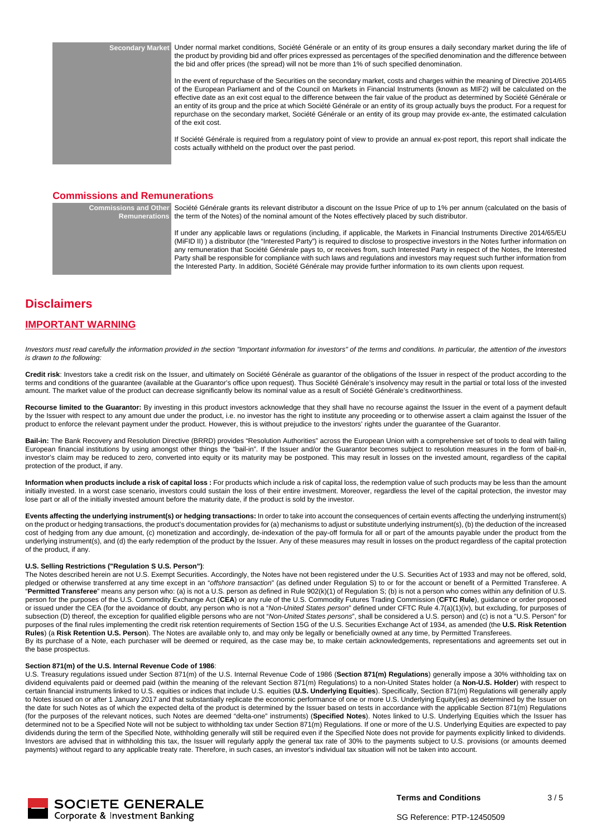**Secondary Market** Under normal market conditions, Société Générale or an entity of its group ensures a daily secondary market during the life of the product by providing bid and offer prices expressed as percentages of the specified denomination and the difference between the bid and offer prices (the spread) will not be more than 1% of such specified denomination.

> In the event of repurchase of the Securities on the secondary market, costs and charges within the meaning of Directive 2014/65 of the European Parliament and of the Council on Markets in Financial Instruments (known as MIF2) will be calculated on the effective date as an exit cost equal to the difference between the fair value of the product as determined by Société Générale or an entity of its group and the price at which Société Générale or an entity of its group actually buys the product. For a request for repurchase on the secondary market, Société Générale or an entity of its group may provide ex-ante, the estimated calculation of the exit cost.

> If Société Générale is required from a regulatory point of view to provide an annual ex-post report, this report shall indicate the costs actually withheld on the product over the past period.

### **Commissions and Remunerations**

**Commissions and Other Remunerations** Société Générale grants its relevant distributor a discount on the Issue Price of up to 1% per annum (calculated on the basis of the term of the Notes) of the nominal amount of the Notes effectively placed by such distributor.

> If under any applicable laws or regulations (including, if applicable, the Markets in Financial Instruments Directive 2014/65/EU (MiFID II) ) a distributor (the "Interested Party") is required to disclose to prospective investors in the Notes further information on any remuneration that Société Générale pays to, or receives from, such Interested Party in respect of the Notes, the Interested Party shall be responsible for compliance with such laws and regulations and investors may request such further information from the Interested Party. In addition, Société Générale may provide further information to its own clients upon request.

# **Disclaimers**

### **IMPORTANT WARNING**

Investors must read carefully the information provided in the section "Important information for investors" of the terms and conditions. In particular, the attention of the investors is drawn to the following:

Credit risk: Investors take a credit risk on the Issuer, and ultimately on Société Générale as guarantor of the obligations of the Issuer in respect of the product according to the terms and conditions of the guarantee (available at the Guarantor's office upon request). Thus Société Générale's insolvency may result in the partial or total loss of the invested amount. The market value of the product can decrease significantly below its nominal value as a result of Société Générale's creditworthiness.

**Recourse limited to the Guarantor:** By investing in this product investors acknowledge that they shall have no recourse against the Issuer in the event of a payment default by the Issuer with respect to any amount due under the product, i.e. no investor has the right to institute any proceeding or to otherwise assert a claim against the Issuer of the product to enforce the relevant payment under the product. However, this is without prejudice to the investors' rights under the guarantee of the Guarantor.

Bail-in: The Bank Recovery and Resolution Directive (BRRD) provides "Resolution Authorities" across the European Union with a comprehensive set of tools to deal with failing European financial institutions by using amongst other things the "bail-in". If the Issuer and/or the Guarantor becomes subject to resolution measures in the form of bail-in, investor's claim may be reduced to zero, converted into equity or its maturity may be postponed. This may result in losses on the invested amount, regardless of the capital protection of the product, if any.

**Information when products include a risk of capital loss :** For products which include a risk of capital loss, the redemption value of such products may be less than the amount initially invested. In a worst case scenario, investors could sustain the loss of their entire investment. Moreover, regardless the level of the capital protection, the investor may lose part or all of the initially invested amount before the maturity date, if the product is sold by the investor.

**Events affecting the underlying instrument(s) or hedging transactions:** In order to take into account the consequences of certain events affecting the underlying instrument(s) on the product or hedging transactions, the product's documentation provides for (a) mechanisms to adjust or substitute underlying instrument(s), (b) the deduction of the increased cost of hedging from any due amount, (c) monetization and accordingly, de-indexation of the pay-off formula for all or part of the amounts payable under the product from the underlying instrument(s), and (d) the early redemption of the product by the Issuer. Any of these measures may result in losses on the product regardless of the capital protection of the product, if any.

#### **U.S. Selling Restrictions ("Regulation S U.S. Person")**:

The Notes described herein are not U.S. Exempt Securities. Accordingly, the Notes have not been registered under the U.S. Securities Act of 1933 and may not be offered, sold, pledged or otherwise transferred at any time except in an "offshore transaction" (as defined under Regulation S) to or for the account or benefit of a Permitted Transferee. A "**Permitted Transferee**" means any person who: (a) is not a U.S. person as defined in Rule 902(k)(1) of Regulation S; (b) is not a person who comes within any definition of U.S. person for the purposes of the U.S. Commodity Exchange Act (**CEA**) or any rule of the U.S. Commodity Futures Trading Commission (**CFTC Rule**), guidance or order proposed or issued under the CEA (for the avoidance of doubt, any person who is not a "Non-United States person" defined under CFTC Rule 4.7(a)(1)(iv), but excluding, for purposes of subsection (D) thereof, the exception for qualified eligible persons who are not "Non-United States persons", shall be considered a U.S. person) and (c) is not a "U.S. Person" for purposes of the final rules implementing the credit risk retention requirements of Section 15G of the U.S. Securities Exchange Act of 1934, as amended (the **U.S. Risk Retention Rules**) (a **Risk Retention U.S. Person**). The Notes are available only to, and may only be legally or beneficially owned at any time, by Permitted Transferees. By its purchase of a Note, each purchaser will be deemed or required, as the case may be, to make certain acknowledgements, representations and agreements set out in the base prospectus.

#### **Section 871(m) of the U.S. Internal Revenue Code of 1986**:

U.S. Treasury regulations issued under Section 871(m) of the U.S. Internal Revenue Code of 1986 (**Section 871(m) Regulations**) generally impose a 30% withholding tax on dividend equivalents paid or deemed paid (within the meaning of the relevant Section 871(m) Regulations) to a non-United States holder (a **Non-U.S. Holder**) with respect to certain financial instruments linked to U.S. equities or indices that include U.S. equities (**U.S. Underlying Equities**). Specifically, Section 871(m) Regulations will generally apply to Notes issued on or after 1 January 2017 and that substantially replicate the economic performance of one or more U.S. Underlying Equity(ies) as determined by the Issuer on the date for such Notes as of which the expected delta of the product is determined by the Issuer based on tests in accordance with the applicable Section 871(m) Regulations (for the purposes of the relevant notices, such Notes are deemed "delta-one" instruments) (**Specified Notes**). Notes linked to U.S. Underlying Equities which the Issuer has determined not to be a Specified Note will not be subject to withholding tax under Section 871(m) Regulations. If one or more of the U.S. Underlying Equities are expected to pay dividends during the term of the Specified Note, withholding generally will still be required even if the Specified Note does not provide for payments explicitly linked to dividends. Investors are advised that in withholding this tax, the Issuer will regularly apply the general tax rate of 30% to the payments subject to U.S. provisions (or amounts deemed payments) without regard to any applicable treaty rate. Therefore, in such cases, an investor's individual tax situation will not be taken into account.

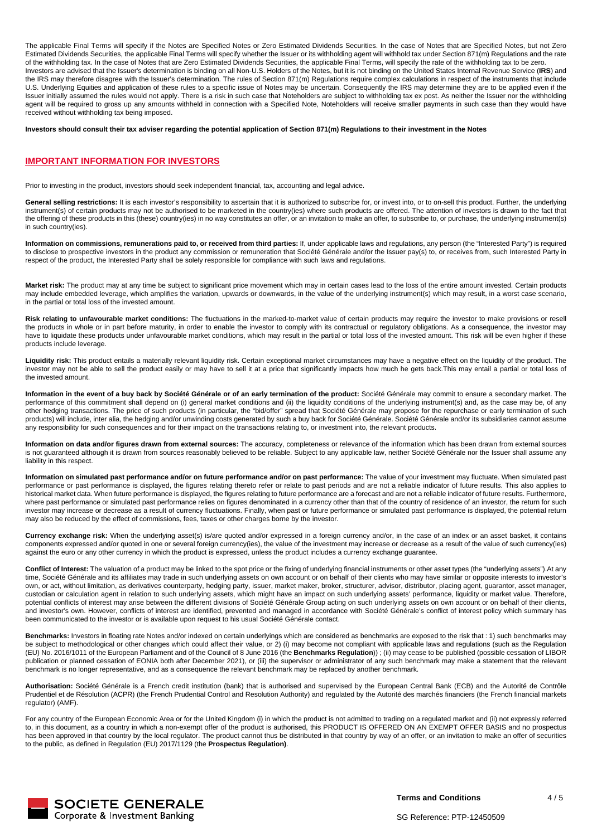The applicable Final Terms will specify if the Notes are Specified Notes or Zero Estimated Dividends Securities. In the case of Notes that are Specified Notes, but not Zero Estimated Dividends Securities, the applicable Final Terms will specify whether the Issuer or its withholding agent will withhold tax under Section 871(m) Regulations and the rate of the withholding tax. In the case of Notes that are Zero Estimated Dividends Securities, the applicable Final Terms, will specify the rate of the withholding tax to be zero. Investors are advised that the Issuer's determination is binding on all Non-U.S. Holders of the Notes, but it is not binding on the United States Internal Revenue Service (**IRS**) and the IRS may therefore disagree with the Issuer's determination. The rules of Section 871(m) Regulations require complex calculations in respect of the instruments that include U.S. Underlying Equities and application of these rules to a specific issue of Notes may be uncertain. Consequently the IRS may determine they are to be applied even if the Issuer initially assumed the rules would not apply. There is a risk in such case that Noteholders are subject to withholding tax ex post. As neither the Issuer nor the withholding Issuer initially assumed the rules would n agent will be required to gross up any amounts withheld in connection with a Specified Note, Noteholders will receive smaller payments in such case than they would have received without withholding tax being imposed.

**Investors should consult their tax adviser regarding the potential application of Section 871(m) Regulations to their investment in the Notes**

#### **IMPORTANT INFORMATION FOR INVESTORS**

Prior to investing in the product, investors should seek independent financial, tax, accounting and legal advice.

General selling restrictions: It is each investor's responsibility to ascertain that it is authorized to subscribe for, or invest into, or to on-sell this product. Further, the underlying instrument(s) of certain products may not be authorised to be marketed in the country(ies) where such products are offered. The attention of investors is drawn to the fact that the offering of these products in this (these) country(ies) in no way constitutes an offer, or an invitation to make an offer, to subscribe to, or purchase, the underlying instrument(s) in such country(ies).

**Information on commissions, remunerations paid to, or received from third parties:** If, under applicable laws and regulations, any person (the "Interested Party") is required to disclose to prospective investors in the product any commission or remuneration that Société Générale and/or the Issuer pay(s) to, or receives from, such Interested Party in respect of the product, the Interested Party shall be solely responsible for compliance with such laws and regulations.

**Market risk:** The product may at any time be subject to significant price movement which may in certain cases lead to the loss of the entire amount invested. Certain products may include embedded leverage, which amplifies the variation, upwards or downwards, in the value of the underlying instrument(s) which may result, in a worst case scenario, in the partial or total loss of the invested amount.

**Risk relating to unfavourable market conditions:** The fluctuations in the marked-to-market value of certain products may require the investor to make provisions or resell the products in whole or in part before maturity, in order to enable the investor to comply with its contractual or regulatory obligations. As a consequence, the investor may have to liquidate these products under unfavourable market conditions, which may result in the partial or total loss of the invested amount. This risk will be even higher if these products include leverage.

**Liquidity risk:** This product entails a materially relevant liquidity risk. Certain exceptional market circumstances may have a negative effect on the liquidity of the product. The investor may not be able to sell the product easily or may have to sell it at a price that significantly impacts how much he gets back.This may entail a partial or total loss of the invested amount.

**Information in the event of a buy back by Société Générale or of an early termination of the product:** Société Générale may commit to ensure a secondary market. The performance of this commitment shall depend on (i) general market conditions and (ii) the liquidity conditions of the underlying instrument(s) and, as the case may be, of any other hedging transactions. The price of such products (in particular, the "bid/offer" spread that Société Générale may propose for the repurchase or early termination of such products) will include, inter alia, the hedging and/or unwinding costs generated by such a buy back for Société Générale. Société Générale and/or its subsidiaries cannot assume any responsibility for such consequences and for their impact on the transactions relating to, or investment into, the relevant products.

**Information on data and/or figures drawn from external sources:** The accuracy, completeness or relevance of the information which has been drawn from external sources is not quaranteed although it is drawn from sources reasonably believed to be reliable. Subject to any applicable law, neither Société Générale nor the Issuer shall assume any liability in this respect.

**Information on simulated past performance and/or on future performance and/or on past performance:** The value of your investment may fluctuate. When simulated past performance or past performance is displayed, the figures relating thereto refer or relate to past periods and are not a reliable indicator of future results. This also applies to historical market data. When future performance is displayed, the figures relating to future performance are a forecast and are not a reliable indicator of future results. Furthermore, where past performance or simulated past performance relies on figures denominated in a currency other than that of the country of residence of an investor, the return for such investor may increase or decrease as a result of currency fluctuations. Finally, when past or future performance or simulated past performance is displayed, the potential return may also be reduced by the effect of commissions, fees, taxes or other charges borne by the investor.

**Currency exchange risk:** When the underlying asset(s) is/are quoted and/or expressed in a foreign currency and/or, in the case of an index or an asset basket, it contains components expressed and/or quoted in one or several foreign currency(ies), the value of the investment may increase or decrease as a result of the value of such currency(ies) against the euro or any other currency in which the product is expressed, unless the product includes a currency exchange guarantee.

**Conflict of Interest:** The valuation of a product may be linked to the spot price or the fixing of underlying financial instruments or other asset types (the "underlying assets").At any time, Société Générale and its affiliates may trade in such underlying assets on own account or on behalf of their clients who may have similar or opposite interests to investor's own, or act, without limitation, as derivatives counterparty, hedging party, issuer, market maker, broker, structurer, advisor, distributor, placing agent, guarantor, asset manager, and a serivatives counterparty, hedging custodian or calculation agent in relation to such underlying assets, which might have an impact on such underlying assets' performance, liquidity or market value. Therefore, potential conflicts of interest may arise between the different divisions of Société Générale Group acting on such underlying assets on own account or on behalf of their clients, and investor's own. However, conflicts of interest are identified, prevented and managed in accordance with Société Générale's conflict of interest policy which summary has been communicated to the investor or is available upon request to his usual Société Générale contact.

**Benchmarks:** Investors in floating rate Notes and/or indexed on certain underlyings which are considered as benchmarks are exposed to the risk that : 1) such benchmarks may be subject to methodological or other changes which could affect their value, or 2) (i) may become not compliant with applicable laws and regulations (such as the Regulation (EU) No. 2016/1011 of the European Parliament and of the Council of 8 June 2016 (the **Benchmarks Regulation**)) ; (ii) may cease to be published (possible cessation of LIBOR publication or planned cessation of EONIA both after December 2021), or (iii) the supervisor or administrator of any such benchmark may make a statement that the relevant benchmark is no longer representative, and as a consequence the relevant benchmark may be replaced by another benchmark.

**Authorisation:** Société Générale is a French credit institution (bank) that is authorised and supervised by the European Central Bank (ECB) and the Autorité de Contrôle Prudentiel et de Résolution (ACPR) (the French Prudential Control and Resolution Authority) and regulated by the Autorité des marchés financiers (the French financial markets regulator) (AMF).

For any country of the European Economic Area or for the United Kingdom (i) in which the product is not admitted to trading on a regulated market and (ii) not expressly referred to, in this document, as a country in which a non-exempt offer of the product is authorised, this PRODUCT IS OFFERED ON AN EXEMPT OFFER BASIS and no prospectus has been approved in that country by the local regulator. The product cannot thus be distributed in that country by way of an offer, or an invitation to make an offer of securities to the public, as defined in Regulation (EU) 2017/1129 (the **Prospectus Regulation)**.



**Terms and Conditions**